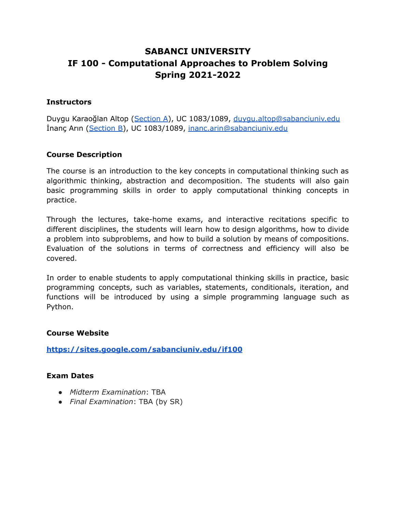# **SABANCI UNIVERSITY IF 100 - Computational Approaches to Problem Solving Spring 2021-2022**

#### **Instructors**

Duygu Karaoğlan Altop ([Section](https://sabanciuniv.zoom.us/j/98433494946?pwd=UVJZaGc4VmduR2tBL3pWd2duQWozZz09) A), UC 1083/1089, [duygu.altop@sabanciuniv.edu](mailto:duygu.altop@sabanciuniv.edu) İnanç Arın ([Section](https://sabanciuniv.zoom.us/j/96777123612?pwd=MUdoWUMxTXQ1RUhvS0FTSXl5UWNjUT09) B), UC 1083/1089, [inanc.arin@sabanciuniv.edu](mailto:inanc.arin@sabanciuniv.edu)

#### **Course Description**

The course is an introduction to the key concepts in computational thinking such as algorithmic thinking, abstraction and decomposition. The students will also gain basic programming skills in order to apply computational thinking concepts in practice.

Through the lectures, take-home exams, and interactive recitations specific to different disciplines, the students will learn how to design algorithms, how to divide a problem into subproblems, and how to build a solution by means of compositions. Evaluation of the solutions in terms of correctness and efficiency will also be covered.

In order to enable students to apply computational thinking skills in practice, basic programming concepts, such as variables, statements, conditionals, iteration, and functions will be introduced by using a simple programming language such as Python.

#### **Course Website**

**<https://sites.google.com/sabanciuniv.edu/if100>**

#### **Exam Dates**

- *Midterm Examination*: TBA
- *Final Examination*: TBA (by SR)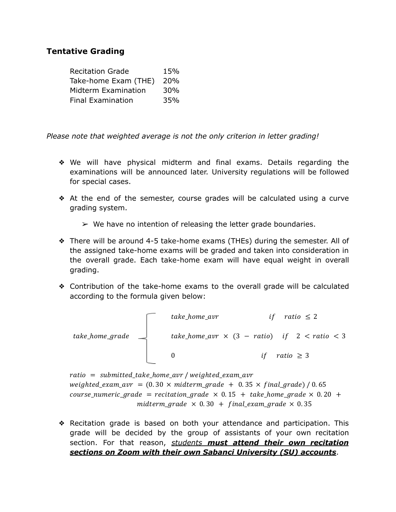# **Tentative Grading**

| <b>Recitation Grade</b>  | 15%             |
|--------------------------|-----------------|
| Take-home Exam (THE)     | <b>20%</b>      |
| Midterm Examination      | 30 <sub>%</sub> |
| <b>Final Examination</b> | 35%             |

*Please note that weighted average is not the only criterion in letter grading!*

- ❖ We will have physical midterm and final exams. Details regarding the examinations will be announced later. University regulations will be followed for special cases.
- ❖ At the end of the semester, course grades will be calculated using a curve grading system.
	- $\triangleright$  We have no intention of releasing the letter grade boundaries.
- ❖ There will be around 4-5 take-home exams (THEs) during the semester. All of the assigned take-home exams will be graded and taken into consideration in the overall grade. Each take-home exam will have equal weight in overall grading.
- ❖ Contribution of the take-home exams to the overall grade will be calculated according to the formula given below:

| take_home_arr | if ratio $\leq 2$ |                       |
|---------------|-------------------|-----------------------|
| take_home_arr | if ratio $\leq 2$ |                       |
| take_home_arr | $\leq 3 - ratio$  | if 2 < ratio $\leq 3$ |
| 0             | if ratio $\geq 3$ |                       |

 $ratio = submitted$  take home avr / weighted exam avr weighted exam avr =  $(0.30 \times m$  idterm grade + 0.35  $\times$  final grade) / 0.65 course\_numeric\_grade = recitation\_grade  $\times$  0.15 + take\_home\_grade  $\times$  0.20 + midterm grade  $\times$  0.30 + final exam grade  $\times$  0.35

❖ Recitation grade is based on both your attendance and participation. This grade will be decided by the group of assistants of your own recitation section. For that reason, *students must attend their own recitation sections on Zoom with their own Sabanci University (SU) accounts*.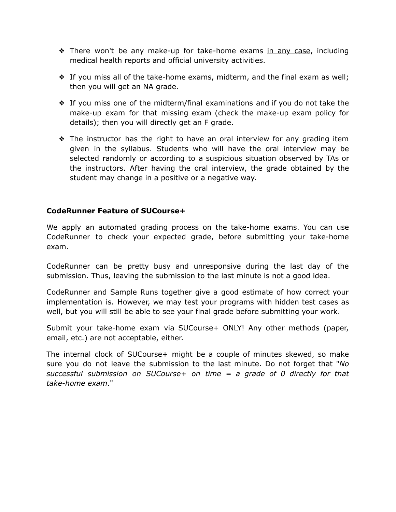- ❖ There won't be any make-up for take-home exams in any case, including medical health reports and official university activities.
- ❖ If you miss all of the take-home exams, midterm, and the final exam as well; then you will get an NA grade.
- ❖ If you miss one of the midterm/final examinations and if you do not take the make-up exam for that missing exam (check the make-up exam policy for details); then you will directly get an F grade.
- ❖ The instructor has the right to have an oral interview for any grading item given in the syllabus. Students who will have the oral interview may be selected randomly or according to a suspicious situation observed by TAs or the instructors. After having the oral interview, the grade obtained by the student may change in a positive or a negative way.

## **CodeRunner Feature of SUCourse+**

We apply an automated grading process on the take-home exams. You can use CodeRunner to check your expected grade, before submitting your take-home exam.

CodeRunner can be pretty busy and unresponsive during the last day of the submission. Thus, leaving the submission to the last minute is not a good idea.

CodeRunner and Sample Runs together give a good estimate of how correct your implementation is. However, we may test your programs with hidden test cases as well, but you will still be able to see your final grade before submitting your work.

Submit your take-home exam via SUCourse+ ONLY! Any other methods (paper, email, etc.) are not acceptable, either.

The internal clock of SUCourse+ might be a couple of minutes skewed, so make sure you do not leave the submission to the last minute. Do not forget that "*No successful submission on SUCourse+ on time = a grade of 0 directly for that take-home exam*."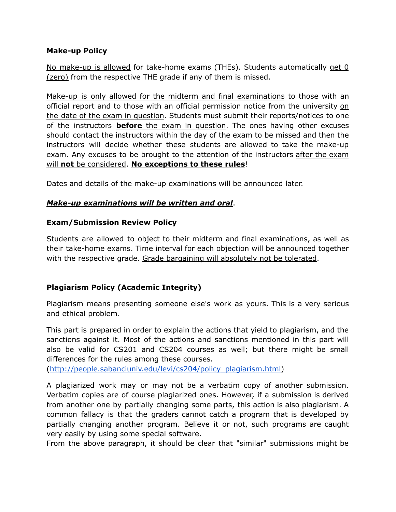#### **Make-up Policy**

No make-up is allowed for take-home exams (THEs). Students automatically get 0 (zero) from the respective THE grade if any of them is missed.

Make-up is only allowed for the midterm and final examinations to those with an official report and to those with an official permission notice from the university on the date of the exam in question. Students must submit their reports/notices to one of the instructors **before** the exam in question. The ones having other excuses should contact the instructors within the day of the exam to be missed and then the instructors will decide whether these students are allowed to take the make-up exam. Any excuses to be brought to the attention of the instructors after the exam will **not** be considered. **No exceptions to these rules**!

Dates and details of the make-up examinations will be announced later.

## *Make-up examinations will be written and oral*.

## **Exam/Submission Review Policy**

Students are allowed to object to their midterm and final examinations, as well as their take-home exams. Time interval for each objection will be announced together with the respective grade. Grade bargaining will absolutely not be tolerated.

# **Plagiarism Policy (Academic Integrity)**

Plagiarism means presenting someone else's work as yours. This is a very serious and ethical problem.

This part is prepared in order to explain the actions that yield to plagiarism, and the sanctions against it. Most of the actions and sanctions mentioned in this part will also be valid for CS201 and CS204 courses as well; but there might be small differences for the rules among these courses.

([http://people.sabanciuniv.edu/levi/cs204/policy\\_plagiarism.html\)](http://people.sabanciuniv.edu/levi/cs204/policy_plagiarism.html)

A plagiarized work may or may not be a verbatim copy of another submission. Verbatim copies are of course plagiarized ones. However, if a submission is derived from another one by partially changing some parts, this action is also plagiarism. A common fallacy is that the graders cannot catch a program that is developed by partially changing another program. Believe it or not, such programs are caught very easily by using some special software.

From the above paragraph, it should be clear that "similar" submissions might be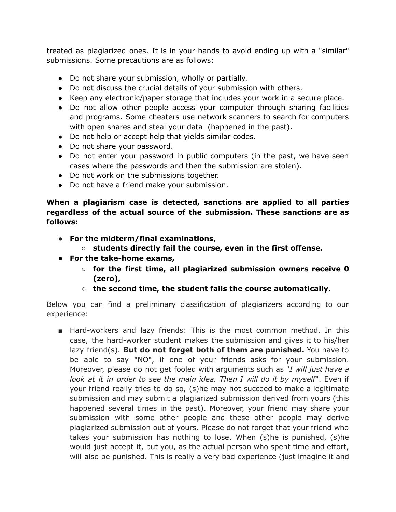treated as plagiarized ones. It is in your hands to avoid ending up with a "similar" submissions. Some precautions are as follows:

- Do not share your submission, wholly or partially.
- Do not discuss the crucial details of your submission with others.
- Keep any electronic/paper storage that includes your work in a secure place.
- Do not allow other people access your computer through sharing facilities and programs. Some cheaters use network scanners to search for computers with open shares and steal your data (happened in the past).
- Do not help or accept help that yields similar codes.
- Do not share your password.
- Do not enter your password in public computers (in the past, we have seen cases where the passwords and then the submission are stolen).
- Do not work on the submissions together.
- Do not have a friend make your submission.

**When a plagiarism case is detected, sanctions are applied to all parties regardless of the actual source of the submission. These sanctions are as follows:**

- **● For the midterm/final examinations,**
	- **○ students directly fail the course, even in the first offense.**
- **● For the take-home exams,**
	- **○ for the first time, all plagiarized submission owners receive 0 (zero),**
	- **○ the second time, the student fails the course automatically.**

Below you can find a preliminary classification of plagiarizers according to our experience:

■ Hard-workers and lazy friends: This is the most common method. In this case, the hard-worker student makes the submission and gives it to his/her lazy friend(s). **But do not forget both of them are punished.** You have to be able to say "NO", if one of your friends asks for your submission. Moreover, please do not get fooled with arguments such as "*I will just have a look at it in order to see the main idea. Then I will do it by myself*". Even if your friend really tries to do so, (s)he may not succeed to make a legitimate submission and may submit a plagiarized submission derived from yours (this happened several times in the past). Moreover, your friend may share your submission with some other people and these other people may derive plagiarized submission out of yours. Please do not forget that your friend who takes your submission has nothing to lose. When (s)he is punished, (s)he would just accept it, but you, as the actual person who spent time and effort, will also be punished. This is really a very bad experience (just imagine it and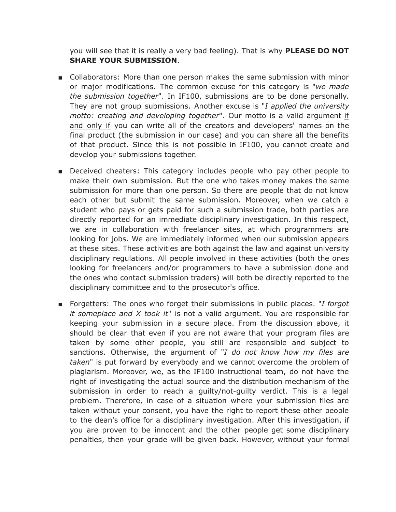you will see that it is really a very bad feeling). That is why **PLEASE DO NOT SHARE YOUR SUBMISSION**.

- Collaborators: More than one person makes the same submission with minor or major modifications. The common excuse for this category is "*we made the submission together*". In IF100, submissions are to be done personally. They are not group submissions. Another excuse is "*I applied the university motto: creating and developing together*". Our motto is a valid argument if and only if you can write all of the creators and developers' names on the final product (the submission in our case) and you can share all the benefits of that product. Since this is not possible in IF100, you cannot create and develop your submissions together.
- Deceived cheaters: This category includes people who pay other people to make their own submission. But the one who takes money makes the same submission for more than one person. So there are people that do not know each other but submit the same submission. Moreover, when we catch a student who pays or gets paid for such a submission trade, both parties are directly reported for an immediate disciplinary investigation. In this respect, we are in collaboration with freelancer sites, at which programmers are looking for jobs. We are immediately informed when our submission appears at these sites. These activities are both against the law and against university disciplinary regulations. All people involved in these activities (both the ones looking for freelancers and/or programmers to have a submission done and the ones who contact submission traders) will both be directly reported to the disciplinary committee and to the prosecutor's office.
- Forgetters: The ones who forget their submissions in public places. "*I forgot it someplace and X took it*" is not a valid argument. You are responsible for keeping your submission in a secure place. From the discussion above, it should be clear that even if you are not aware that your program files are taken by some other people, you still are responsible and subject to sanctions. Otherwise, the argument of "*I do not know how my files are taken*" is put forward by everybody and we cannot overcome the problem of plagiarism. Moreover, we, as the IF100 instructional team, do not have the right of investigating the actual source and the distribution mechanism of the submission in order to reach a guilty/not-guilty verdict. This is a legal problem. Therefore, in case of a situation where your submission files are taken without your consent, you have the right to report these other people to the dean's office for a disciplinary investigation. After this investigation, if you are proven to be innocent and the other people get some disciplinary penalties, then your grade will be given back. However, without your formal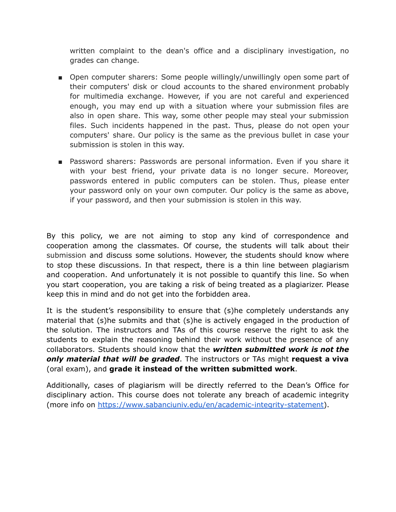written complaint to the dean's office and a disciplinary investigation, no grades can change.

- Open computer sharers: Some people willingly/unwillingly open some part of their computers' disk or cloud accounts to the shared environment probably for multimedia exchange. However, if you are not careful and experienced enough, you may end up with a situation where your submission files are also in open share. This way, some other people may steal your submission files. Such incidents happened in the past. Thus, please do not open your computers' share. Our policy is the same as the previous bullet in case your submission is stolen in this way.
- Password sharers: Passwords are personal information. Even if you share it with your best friend, your private data is no longer secure. Moreover, passwords entered in public computers can be stolen. Thus, please enter your password only on your own computer. Our policy is the same as above, if your password, and then your submission is stolen in this way.

By this policy, we are not aiming to stop any kind of correspondence and cooperation among the classmates. Of course, the students will talk about their submission and discuss some solutions. However, the students should know where to stop these discussions. In that respect, there is a thin line between plagiarism and cooperation. And unfortunately it is not possible to quantify this line. So when you start cooperation, you are taking a risk of being treated as a plagiarizer. Please keep this in mind and do not get into the forbidden area.

It is the student's responsibility to ensure that (s)he completely understands any material that (s)he submits and that (s)he is actively engaged in the production of the solution. The instructors and TAs of this course reserve the right to ask the students to explain the reasoning behind their work without the presence of any collaborators. Students should know that the *written submitted work is not the only material that will be graded*. The instructors or TAs might **request a viva** (oral exam), and **grade it instead of the written submitted work**.

Additionally, cases of plagiarism will be directly referred to the Dean's Office for disciplinary action. This course does not tolerate any breach of academic integrity (more info on [https://www.sabanciuniv.edu/en/academic-integrity-statement\)](https://www.sabanciuniv.edu/en/academic-integrity-statement).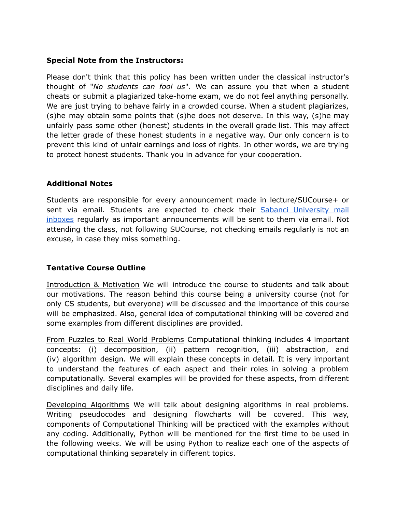#### **Special Note from the Instructors:**

Please don't think that this policy has been written under the classical instructor's thought of "*No students can fool us*". We can assure you that when a student cheats or submit a plagiarized take-home exam, we do not feel anything personally. We are just trying to behave fairly in a crowded course. When a student plagiarizes, (s)he may obtain some points that (s)he does not deserve. In this way, (s)he may unfairly pass some other (honest) students in the overall grade list. This may affect the letter grade of these honest students in a negative way. Our only concern is to prevent this kind of unfair earnings and loss of rights. In other words, we are trying to protect honest students. Thank you in advance for your cooperation.

## **Additional Notes**

Students are responsible for every announcement made in lecture/SUCourse+ or sent via email. Students are expected to check their Sabanci [University](https://mymail.sabanciuniv.edu) mail [inboxes](https://mymail.sabanciuniv.edu) regularly as important announcements will be sent to them via email. Not attending the class, not following SUCourse, not checking emails regularly is not an excuse, in case they miss something.

# **Tentative Course Outline**

Introduction & Motivation We will introduce the course to students and talk about our motivations. The reason behind this course being a university course (not for only CS students, but everyone) will be discussed and the importance of this course will be emphasized. Also, general idea of computational thinking will be covered and some examples from different disciplines are provided.

From Puzzles to Real World Problems Computational thinking includes 4 important concepts: (i) decomposition, (ii) pattern recognition, (iii) abstraction, and (iv) algorithm design. We will explain these concepts in detail. It is very important to understand the features of each aspect and their roles in solving a problem computationally. Several examples will be provided for these aspects, from different disciplines and daily life.

Developing Algorithms We will talk about designing algorithms in real problems. Writing pseudocodes and designing flowcharts will be covered. This way, components of Computational Thinking will be practiced with the examples without any coding. Additionally, Python will be mentioned for the first time to be used in the following weeks. We will be using Python to realize each one of the aspects of computational thinking separately in different topics.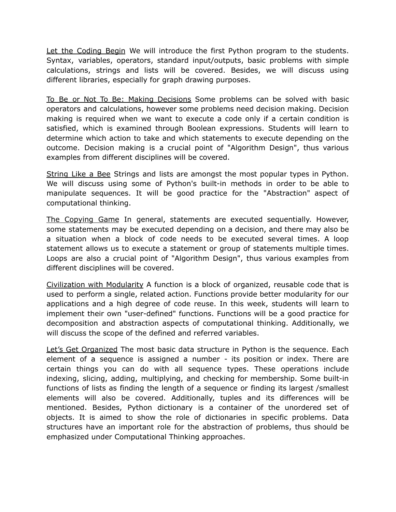Let the Coding Begin We will introduce the first Python program to the students. Syntax, variables, operators, standard input/outputs, basic problems with simple calculations, strings and lists will be covered. Besides, we will discuss using different libraries, especially for graph drawing purposes.

To Be or Not To Be: Making Decisions Some problems can be solved with basic operators and calculations, however some problems need decision making. Decision making is required when we want to execute a code only if a certain condition is satisfied, which is examined through Boolean expressions. Students will learn to determine which action to take and which statements to execute depending on the outcome. Decision making is a crucial point of "Algorithm Design", thus various examples from different disciplines will be covered.

String Like a Bee Strings and lists are amongst the most popular types in Python. We will discuss using some of Python's built-in methods in order to be able to manipulate sequences. It will be good practice for the "Abstraction" aspect of computational thinking.

The Copying Game In general, statements are executed sequentially. However, some statements may be executed depending on a decision, and there may also be a situation when a block of code needs to be executed several times. A loop statement allows us to execute a statement or group of statements multiple times. Loops are also a crucial point of "Algorithm Design", thus various examples from different disciplines will be covered.

Civilization with Modularity A function is a block of organized, reusable code that is used to perform a single, related action. Functions provide better modularity for our applications and a high degree of code reuse. In this week, students will learn to implement their own "user-defined" functions. Functions will be a good practice for decomposition and abstraction aspects of computational thinking. Additionally, we will discuss the scope of the defined and referred variables.

Let's Get Organized The most basic data structure in Python is the sequence. Each element of a sequence is assigned a number - its position or index. There are certain things you can do with all sequence types. These operations include indexing, slicing, adding, multiplying, and checking for membership. Some built-in functions of lists as finding the length of a sequence or finding its largest /smallest elements will also be covered. Additionally, tuples and its differences will be mentioned. Besides, Python dictionary is a container of the unordered set of objects. It is aimed to show the role of dictionaries in specific problems. Data structures have an important role for the abstraction of problems, thus should be emphasized under Computational Thinking approaches.